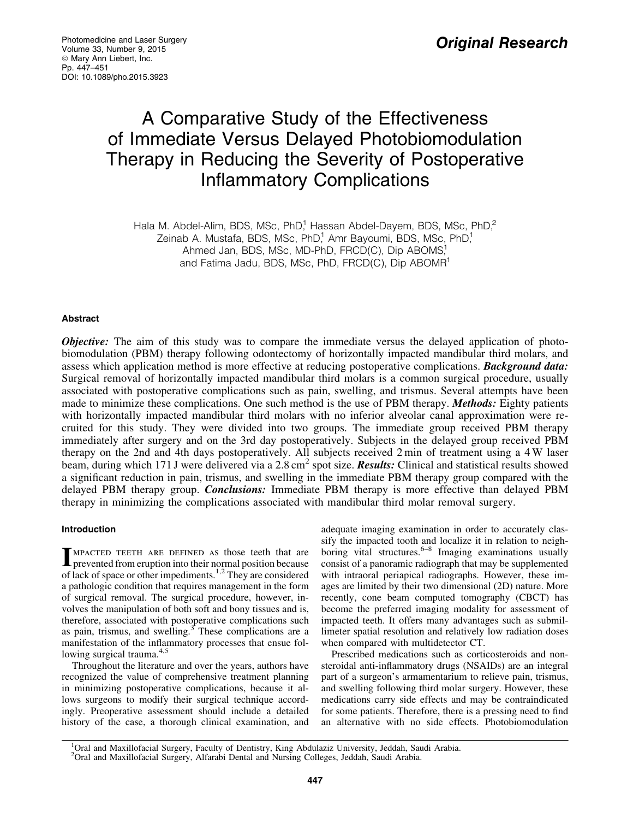# A Comparative Study of the Effectiveness of Immediate Versus Delayed Photobiomodulation Therapy in Reducing the Severity of Postoperative Inflammatory Complications

Hala M. Abdel-Alim, BDS, MSc, PhD,<sup>1</sup> Hassan Abdel-Dayem, BDS, MSc, PhD,<sup>2</sup> Zeinab A. Mustafa, BDS, MSc, PhD,<sup>1</sup> Amr Bayoumi, BDS, MSc, PhD,<sup>1</sup> Ahmed Jan, BDS, MSc, MD-PhD, FRCD(C), Dip ABOMS, and Fatima Jadu, BDS, MSc, PhD, FRCD(C), Dip ABOMR<sup>1</sup>

# Abstract

**Objective:** The aim of this study was to compare the immediate versus the delayed application of photobiomodulation (PBM) therapy following odontectomy of horizontally impacted mandibular third molars, and assess which application method is more effective at reducing postoperative complications. **Background data:** Surgical removal of horizontally impacted mandibular third molars is a common surgical procedure, usually associated with postoperative complications such as pain, swelling, and trismus. Several attempts have been made to minimize these complications. One such method is the use of PBM therapy. **Methods:** Eighty patients with horizontally impacted mandibular third molars with no inferior alveolar canal approximation were recruited for this study. They were divided into two groups. The immediate group received PBM therapy immediately after surgery and on the 3rd day postoperatively. Subjects in the delayed group received PBM therapy on the 2nd and 4th days postoperatively. All subjects received 2 min of treatment using a 4 W laser beam, during which 171 J were delivered via a 2.8 cm<sup>2</sup> spot size. **Results:** Clinical and statistical results showed a significant reduction in pain, trismus, and swelling in the immediate PBM therapy group compared with the delayed PBM therapy group. *Conclusions:* Immediate PBM therapy is more effective than delayed PBM therapy in minimizing the complications associated with mandibular third molar removal surgery.

# Introduction

**IMPACTED TEETH ARE DEFINED AS those teeth that are** prevented from eruption into their normal position because of lack of space or other impediments.1,2 They are considered a pathologic condition that requires management in the form of surgical removal. The surgical procedure, however, involves the manipulation of both soft and bony tissues and is, therefore, associated with postoperative complications such as pain, trismus, and swelling. $3$  These complications are a manifestation of the inflammatory processes that ensue following surgical trauma.<sup>4,5</sup>

Throughout the literature and over the years, authors have recognized the value of comprehensive treatment planning in minimizing postoperative complications, because it allows surgeons to modify their surgical technique accordingly. Preoperative assessment should include a detailed history of the case, a thorough clinical examination, and adequate imaging examination in order to accurately classify the impacted tooth and localize it in relation to neighboring vital structures.<sup>6–8</sup> Imaging examinations usually consist of a panoramic radiograph that may be supplemented with intraoral periapical radiographs. However, these images are limited by their two dimensional (2D) nature. More recently, cone beam computed tomography (CBCT) has become the preferred imaging modality for assessment of impacted teeth. It offers many advantages such as submillimeter spatial resolution and relatively low radiation doses when compared with multidetector CT.

Prescribed medications such as corticosteroids and nonsteroidal anti-inflammatory drugs (NSAIDs) are an integral part of a surgeon's armamentarium to relieve pain, trismus, and swelling following third molar surgery. However, these medications carry side effects and may be contraindicated for some patients. Therefore, there is a pressing need to find an alternative with no side effects. Photobiomodulation

<sup>1</sup>Oral and Maxillofacial Surgery, Faculty of Dentistry, King Abdulaziz University, Jeddah, Saudi Arabia. <sup>2</sup>Oral and Maxillofacial Surgery, Alfarabi Dental and Nursing Colleges, Jeddah, Saudi Arabia.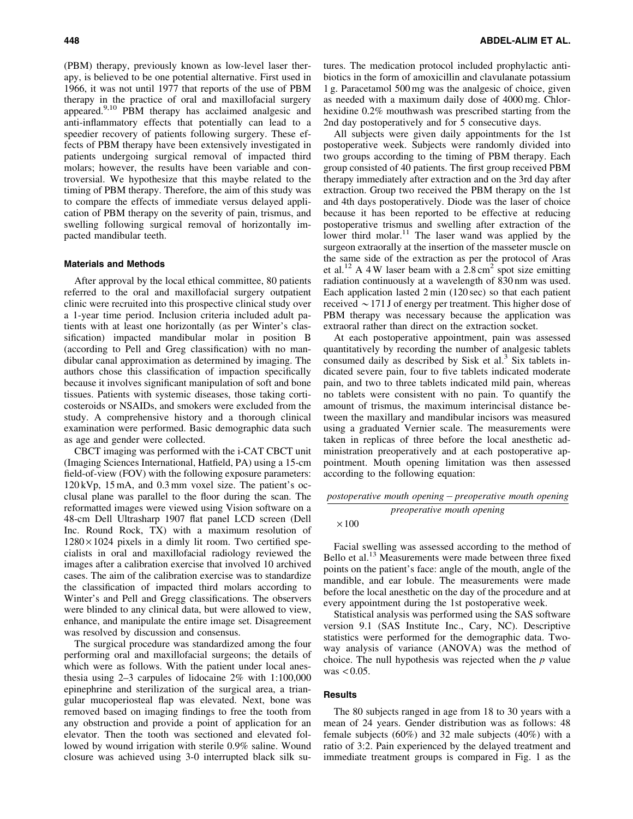(PBM) therapy, previously known as low-level laser therapy, is believed to be one potential alternative. First used in 1966, it was not until 1977 that reports of the use of PBM therapy in the practice of oral and maxillofacial surgery appeared.9,10 PBM therapy has acclaimed analgesic and anti-inflammatory effects that potentially can lead to a speedier recovery of patients following surgery. These effects of PBM therapy have been extensively investigated in patients undergoing surgical removal of impacted third molars; however, the results have been variable and controversial. We hypothesize that this maybe related to the timing of PBM therapy. Therefore, the aim of this study was to compare the effects of immediate versus delayed application of PBM therapy on the severity of pain, trismus, and swelling following surgical removal of horizontally impacted mandibular teeth.

#### Materials and Methods

After approval by the local ethical committee, 80 patients referred to the oral and maxillofacial surgery outpatient clinic were recruited into this prospective clinical study over a 1-year time period. Inclusion criteria included adult patients with at least one horizontally (as per Winter's classification) impacted mandibular molar in position B (according to Pell and Greg classification) with no mandibular canal approximation as determined by imaging. The authors chose this classification of impaction specifically because it involves significant manipulation of soft and bone tissues. Patients with systemic diseases, those taking corticosteroids or NSAIDs, and smokers were excluded from the study. A comprehensive history and a thorough clinical examination were performed. Basic demographic data such as age and gender were collected.

CBCT imaging was performed with the i-CAT CBCT unit (Imaging Sciences International, Hatfield, PA) using a 15-cm field-of-view (FOV) with the following exposure parameters: 120 kVp, 15 mA, and 0.3 mm voxel size. The patient's occlusal plane was parallel to the floor during the scan. The reformatted images were viewed using Vision software on a 48-cm Dell Ultrasharp 1907 flat panel LCD screen (Dell Inc. Round Rock, TX) with a maximum resolution of  $1280 \times 1024$  pixels in a dimly lit room. Two certified specialists in oral and maxillofacial radiology reviewed the images after a calibration exercise that involved 10 archived cases. The aim of the calibration exercise was to standardize the classification of impacted third molars according to Winter's and Pell and Gregg classifications. The observers were blinded to any clinical data, but were allowed to view, enhance, and manipulate the entire image set. Disagreement was resolved by discussion and consensus.

The surgical procedure was standardized among the four performing oral and maxillofacial surgeons; the details of which were as follows. With the patient under local anesthesia using 2–3 carpules of lidocaine 2% with 1:100,000 epinephrine and sterilization of the surgical area, a triangular mucoperiosteal flap was elevated. Next, bone was removed based on imaging findings to free the tooth from any obstruction and provide a point of application for an elevator. Then the tooth was sectioned and elevated followed by wound irrigation with sterile 0.9% saline. Wound closure was achieved using 3-0 interrupted black silk sutures. The medication protocol included prophylactic antibiotics in the form of amoxicillin and clavulanate potassium 1 g. Paracetamol 500 mg was the analgesic of choice, given as needed with a maximum daily dose of 4000 mg. Chlorhexidine 0.2% mouthwash was prescribed starting from the 2nd day postoperatively and for 5 consecutive days.

All subjects were given daily appointments for the 1st postoperative week. Subjects were randomly divided into two groups according to the timing of PBM therapy. Each group consisted of 40 patients. The first group received PBM therapy immediately after extraction and on the 3rd day after extraction. Group two received the PBM therapy on the 1st and 4th days postoperatively. Diode was the laser of choice because it has been reported to be effective at reducing postoperative trismus and swelling after extraction of the lower third molar.<sup>11</sup> The laser wand was applied by the surgeon extraorally at the insertion of the masseter muscle on the same side of the extraction as per the protocol of Aras et al.<sup>12</sup> A 4 W laser beam with a  $2.8 \text{ cm}^2$  spot size emitting radiation continuously at a wavelength of 830 nm was used. Each application lasted 2 min (120 sec) so that each patient received  $\sim$  171 J of energy per treatment. This higher dose of PBM therapy was necessary because the application was extraoral rather than direct on the extraction socket.

At each postoperative appointment, pain was assessed quantitatively by recording the number of analgesic tablets consumed daily as described by Sisk et al. $3$  Six tablets indicated severe pain, four to five tablets indicated moderate pain, and two to three tablets indicated mild pain, whereas no tablets were consistent with no pain. To quantify the amount of trismus, the maximum interincisal distance between the maxillary and mandibular incisors was measured using a graduated Vernier scale. The measurements were taken in replicas of three before the local anesthetic administration preoperatively and at each postoperative appointment. Mouth opening limitation was then assessed according to the following equation:

# *postoperative mouth opening* - *preoperative mouth opening preoperative mouth opening*

#### $\times 100$

Facial swelling was assessed according to the method of Bello et al.<sup>13</sup> Measurements were made between three fixed points on the patient's face: angle of the mouth, angle of the mandible, and ear lobule. The measurements were made before the local anesthetic on the day of the procedure and at every appointment during the 1st postoperative week.

Statistical analysis was performed using the SAS software version 9.1 (SAS Institute Inc., Cary, NC). Descriptive statistics were performed for the demographic data. Twoway analysis of variance (ANOVA) was the method of choice. The null hypothesis was rejected when the *p* value was  $< 0.05$ .

### **Results**

The 80 subjects ranged in age from 18 to 30 years with a mean of 24 years. Gender distribution was as follows: 48 female subjects (60%) and 32 male subjects (40%) with a ratio of 3:2. Pain experienced by the delayed treatment and immediate treatment groups is compared in Fig. 1 as the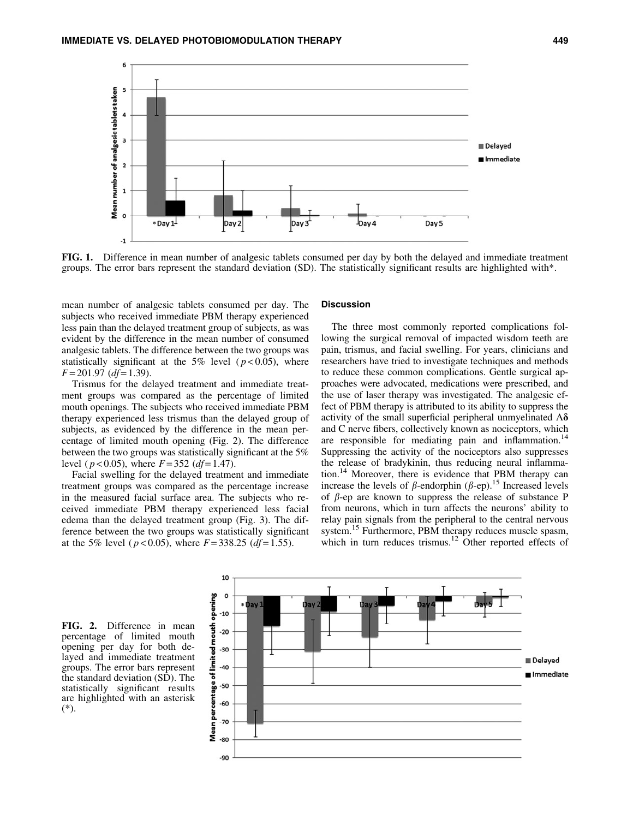

FIG. 1. Difference in mean number of analgesic tablets consumed per day by both the delayed and immediate treatment groups. The error bars represent the standard deviation (SD). The statistically significant results are highlighted with\*.

mean number of analgesic tablets consumed per day. The subjects who received immediate PBM therapy experienced less pain than the delayed treatment group of subjects, as was evident by the difference in the mean number of consumed analgesic tablets. The difference between the two groups was statistically significant at the 5% level ( $p < 0.05$ ), where *F* = 201.97 (*df* = 1.39).

Trismus for the delayed treatment and immediate treatment groups was compared as the percentage of limited mouth openings. The subjects who received immediate PBM therapy experienced less trismus than the delayed group of subjects, as evidenced by the difference in the mean percentage of limited mouth opening (Fig. 2). The difference between the two groups was statistically significant at the 5% level ( $p < 0.05$ ), where  $F = 352$  ( $df = 1.47$ ).

Facial swelling for the delayed treatment and immediate treatment groups was compared as the percentage increase in the measured facial surface area. The subjects who received immediate PBM therapy experienced less facial edema than the delayed treatment group (Fig. 3). The difference between the two groups was statistically significant at the 5% level ( $p < 0.05$ ), where  $F = 338.25$  ( $df = 1.55$ ).

#### **Discussion**

The three most commonly reported complications following the surgical removal of impacted wisdom teeth are pain, trismus, and facial swelling. For years, clinicians and researchers have tried to investigate techniques and methods to reduce these common complications. Gentle surgical approaches were advocated, medications were prescribed, and the use of laser therapy was investigated. The analgesic effect of PBM therapy is attributed to its ability to suppress the activity of the small superficial peripheral unmyelinated  $A\delta$ and C nerve fibers, collectively known as nociceptors, which are responsible for mediating pain and inflammation.<sup>14</sup> Suppressing the activity of the nociceptors also suppresses the release of bradykinin, thus reducing neural inflammation.14 Moreover, there is evidence that PBM therapy can increase the levels of  $\beta$ -endorphin ( $\beta$ -ep).<sup>15</sup> Increased levels of  $\beta$ -ep are known to suppress the release of substance P from neurons, which in turn affects the neurons' ability to relay pain signals from the peripheral to the central nervous system.<sup>15</sup> Furthermore, PBM therapy reduces muscle spasm, which in turn reduces trismus.<sup>12</sup> Other reported effects of

FIG. 2. Difference in mean percentage of limited mouth opening per day for both delayed and immediate treatment groups. The error bars represent the standard deviation (SD). The statistically significant results are highlighted with an asterisk (\*).

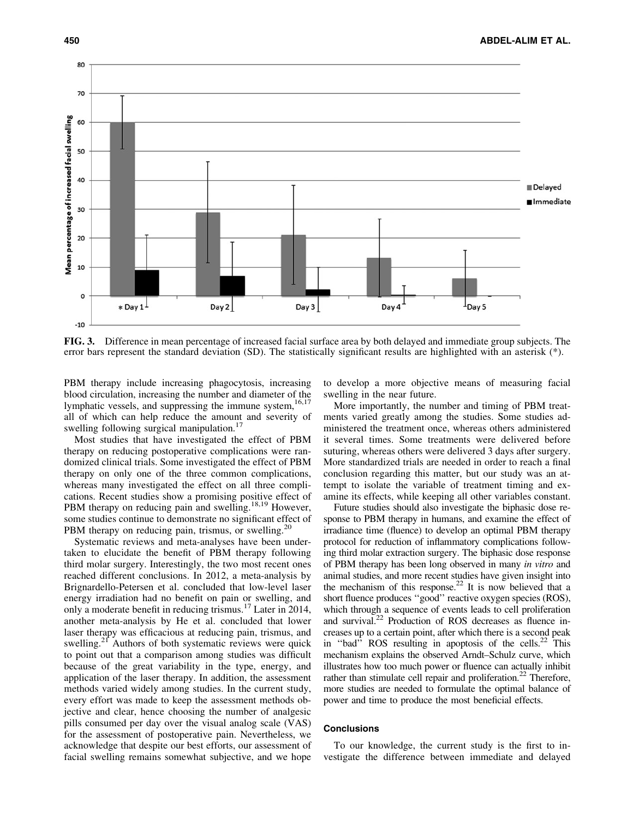

FIG. 3. Difference in mean percentage of increased facial surface area by both delayed and immediate group subjects. The error bars represent the standard deviation (SD). The statistically significant results are highlighted with an asterisk (\*).

PBM therapy include increasing phagocytosis, increasing blood circulation, increasing the number and diameter of the lymphatic vessels, and suppressing the immune system,<sup>16,17</sup> all of which can help reduce the amount and severity of swelling following surgical manipulation.<sup>17</sup>

Most studies that have investigated the effect of PBM therapy on reducing postoperative complications were randomized clinical trials. Some investigated the effect of PBM therapy on only one of the three common complications, whereas many investigated the effect on all three complications. Recent studies show a promising positive effect of PBM therapy on reducing pain and swelling.<sup>18,19</sup> However, some studies continue to demonstrate no significant effect of PBM therapy on reducing pain, trismus, or swelling.<sup>2</sup>

Systematic reviews and meta-analyses have been undertaken to elucidate the benefit of PBM therapy following third molar surgery. Interestingly, the two most recent ones reached different conclusions. In 2012, a meta-analysis by Brignardello-Petersen et al. concluded that low-level laser energy irradiation had no benefit on pain or swelling, and only a moderate benefit in reducing trismus.<sup>17</sup> Later in 2014, another meta-analysis by He et al. concluded that lower laser therapy was efficacious at reducing pain, trismus, and swelling.<sup>21</sup> Authors of both systematic reviews were quick to point out that a comparison among studies was difficult because of the great variability in the type, energy, and application of the laser therapy. In addition, the assessment methods varied widely among studies. In the current study, every effort was made to keep the assessment methods objective and clear, hence choosing the number of analgesic pills consumed per day over the visual analog scale (VAS) for the assessment of postoperative pain. Nevertheless, we acknowledge that despite our best efforts, our assessment of facial swelling remains somewhat subjective, and we hope to develop a more objective means of measuring facial swelling in the near future.

More importantly, the number and timing of PBM treatments varied greatly among the studies. Some studies administered the treatment once, whereas others administered it several times. Some treatments were delivered before suturing, whereas others were delivered 3 days after surgery. More standardized trials are needed in order to reach a final conclusion regarding this matter, but our study was an attempt to isolate the variable of treatment timing and examine its effects, while keeping all other variables constant.

Future studies should also investigate the biphasic dose response to PBM therapy in humans, and examine the effect of irradiance time (fluence) to develop an optimal PBM therapy protocol for reduction of inflammatory complications following third molar extraction surgery. The biphasic dose response of PBM therapy has been long observed in many *in vitro* and animal studies, and more recent studies have given insight into the mechanism of this response.<sup>22</sup> It is now believed that a short fluence produces ''good'' reactive oxygen species (ROS), which through a sequence of events leads to cell proliferation and survival.<sup>22</sup> Production of ROS decreases as fluence increases up to a certain point, after which there is a second peak in "bad" ROS resulting in apoptosis of the cells.<sup>22</sup> This mechanism explains the observed Arndt–Schulz curve, which illustrates how too much power or fluence can actually inhibit rather than stimulate cell repair and proliferation.<sup>22</sup> Therefore, more studies are needed to formulate the optimal balance of power and time to produce the most beneficial effects.

## **Conclusions**

To our knowledge, the current study is the first to investigate the difference between immediate and delayed